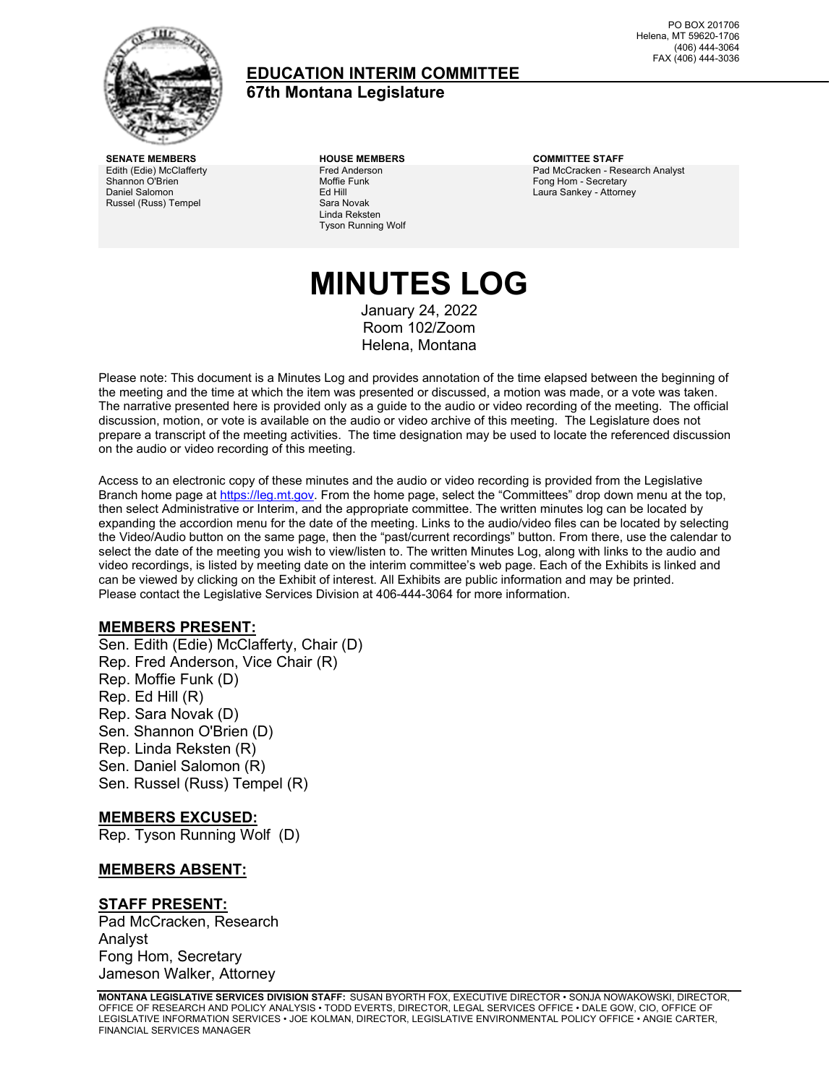

### **EDUCATION INTERIM COMMITTEE 67th Montana Legislature**

PO BOX 201706 Helena, MT 59620-1706 (406) 444-3064 FAX (406) 444-3036

Edith (Edie) McClafferty Shannon O'Brien Daniel Salomon Russel (Russ) Tempel

Fred Anderson Moffie Funk Ed Hill Sara Novak Linda Reksten Tyson Running Wolf

**SENATE MEMBERS HOUSE MEMBERS COMMITTEE STAFF** Pad McCracken - Research Analyst Fong Hom - Secretary Laura Sankey - Attorney

# **MINUTES LOG**

January 24, 2022 Room 102/Zoom Helena, Montana

Please note: This document is a Minutes Log and provides annotation of the time elapsed between the beginning of the meeting and the time at which the item was presented or discussed, a motion was made, or a vote was taken. The narrative presented here is provided only as a guide to the audio or video recording of the meeting. The official discussion, motion, or vote is available on the audio or video archive of this meeting. The Legislature does not prepare a transcript of the meeting activities. The time designation may be used to locate the referenced discussion on the audio or video recording of this meeting.

Access to an electronic copy of these minutes and the audio or video recording is provided from the Legislative Branch home page a[t https://leg.mt.gov.](http://legmt.gov/) From the home page, select the "Committees" drop down menu at the top, then select Administrative or Interim, and the appropriate committee. The written minutes log can be located by expanding the accordion menu for the date of the meeting. Links to the audio/video files can be located by selecting the Video/Audio button on the same page, then the "past/current recordings" button. From there, use the calendar to select the date of the meeting you wish to view/listen to. The written Minutes Log, along with links to the audio and video recordings, is listed by meeting date on the interim committee's web page. Each of the Exhibits is linked and can be viewed by clicking on the Exhibit of interest. All Exhibits are public information and may be printed. Please contact the Legislative Services Division at 406-444-3064 for more information.

#### **MEMBERS PRESENT:**

Sen. Edith (Edie) McClafferty, Chair (D) Rep. Fred Anderson, Vice Chair (R) Rep. Moffie Funk (D) Rep. Ed Hill (R) Rep. Sara Novak (D) Sen. Shannon O'Brien (D) Rep. Linda Reksten (R) Sen. Daniel Salomon (R) Sen. Russel (Russ) Tempel (R)

#### **MEMBERS EXCUSED:**

Rep. Tyson Running Wolf (D)

#### **MEMBERS ABSENT:**

#### **STAFF PRESENT:**

Pad McCracken, Research Analyst Fong Hom, Secretary Jameson Walker, Attorney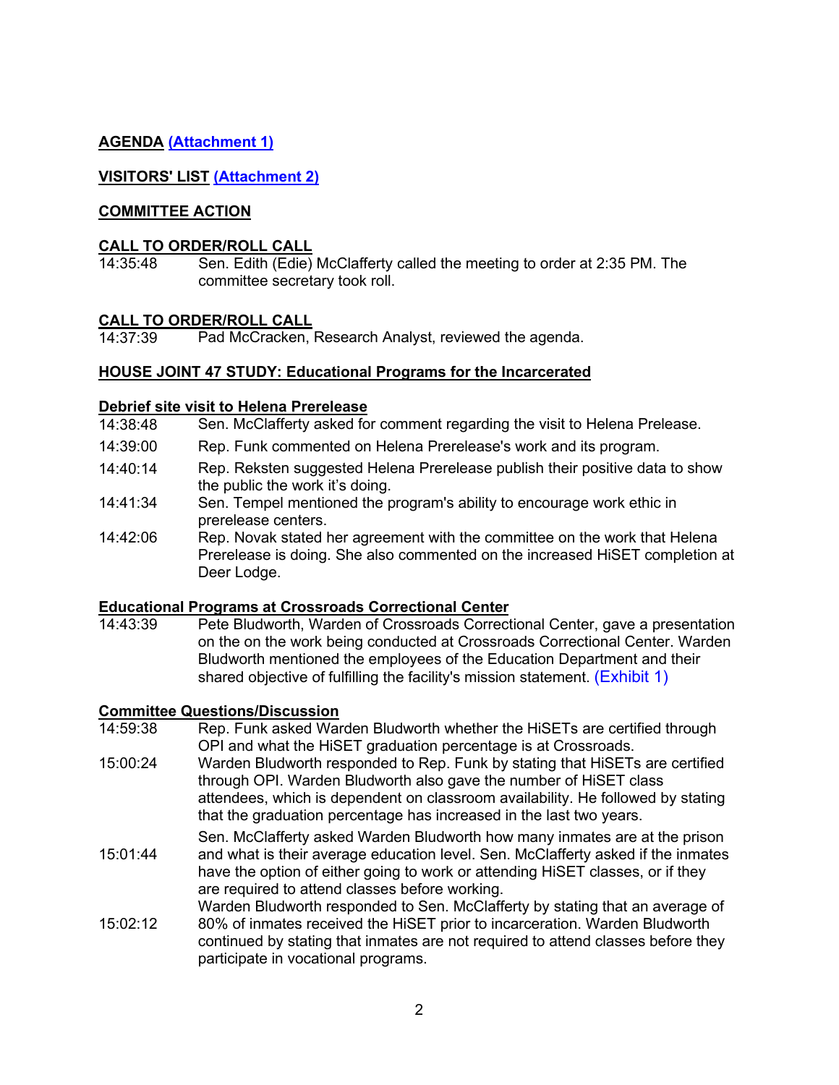### **AGENDA [\(Attachment 1\)](https://leg.mt.gov/content/Committees/Interim/2021-2022/Education/Meetings/January-2022/jan-2022-final-agenda.pdf)**

### **VISITORS' LIST [\(Attachment 2\)](https://leg.mt.gov/content/Committees/Interim/2021-2022/Education/Meetings/January-2022/visitor_sign-in.pdf)**

#### **COMMITTEE ACTION**

# **CALL TO ORDER/ROLL CALL**<br>14:35:48 Sen. Edith (Edie)

Sen. Edith (Edie) McClafferty called the meeting to order at 2:35 PM. The committee secretary took roll.

#### **CALL TO ORDER/ROLL CALL**

14:37:39 Pad McCracken, Research Analyst, reviewed the agenda.

#### **HOUSE JOINT 47 STUDY: Educational Programs for the Incarcerated**

#### **Debrief site visit to Helena Prerelease**

- 14:38:48 Sen. McClafferty asked for comment regarding the visit to Helena Prelease.
- 14:39:00 Rep. Funk commented on Helena Prerelease's work and its program.
- 14:40:14 Rep. Reksten suggested Helena Prerelease publish their positive data to show the public the work it's doing.
- 14:41:34 Sen. Tempel mentioned the program's ability to encourage work ethic in prerelease centers.
- 14:42:06 Rep. Novak stated her agreement with the committee on the work that Helena Prerelease is doing. She also commented on the increased HiSET completion at Deer Lodge.

### **Educational Programs at Crossroads Correctional Center**

Pete Bludworth, Warden of Crossroads Correctional Center, gave a presentation on the on the work being conducted at Crossroads Correctional Center. Warden Bludworth mentioned the employees of the Education Department and their shared objective of fulfilling the facility's mission statement. [\(Exhibit](https://leg.mt.gov/content/Committees/Interim/2021-2022/Education/Meetings/January-2022/Crossroads_handout.pdf) 1)

#### **Committee Questions/Discussion**

- 14:59:38 Rep. Funk asked Warden Bludworth whether the HiSETs are certified through OPI and what the HiSET graduation percentage is at Crossroads.
- 15:00:24 Warden Bludworth responded to Rep. Funk by stating that HiSETs are certified through OPI. Warden Bludworth also gave the number of HiSET class attendees, which is dependent on classroom availability. He followed by stating that the graduation percentage has increased in the last two years.
- 15:01:44 Sen. McClafferty asked Warden Bludworth how many inmates are at the prison and what is their average education level. Sen. McClafferty asked if the inmates have the option of either going to work or attending HiSET classes, or if they are required to attend classes before working.
- $15:02:12$ Warden Bludworth responded to Sen. McClafferty by stating that an average of 80% of inmates received the HiSET prior to incarceration. Warden Bludworth continued by stating that inmates are not required to attend classes before they participate in vocational programs.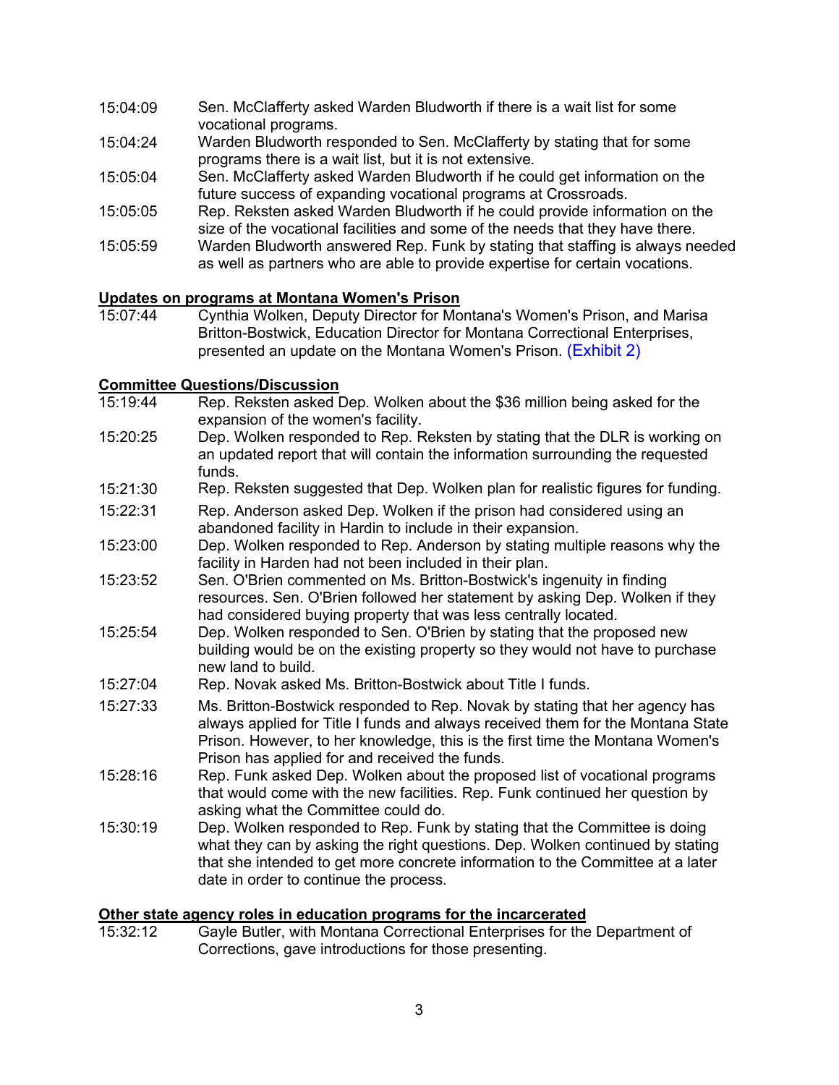- 15:04:09 Sen. McClafferty asked Warden Bludworth if there is a wait list for some vocational programs.
- 15:04:24 Warden Bludworth responded to Sen. McClafferty by stating that for some programs there is a wait list, but it is not extensive.
- 15:05:04 Sen. McClafferty asked Warden Bludworth if he could get information on the future success of expanding vocational programs at Crossroads.
- 15:05:05 Rep. Reksten asked Warden Bludworth if he could provide information on the size of the vocational facilities and some of the needs that they have there.
- 15:05:59 Warden Bludworth answered Rep. Funk by stating that staffing is always needed as well as partners who are able to provide expertise for certain vocations.

## **Updates on programs at Montana Women's Prison**

Cynthia Wolken, Deputy Director for Montana's Women's Prison, and Marisa Britton-Bostwick, Education Director for Montana Correctional Enterprises, presented an update on the Montana Women's Prison. [\(Exhibit 2\)](https://leg.mt.gov/content/Committees/Interim/2021-2022/Education/Meetings/January-2022/MDOC_EDIC.pdf) 

#### **Committee Questions/Discussion**

- 15:19:44 Rep. Reksten asked Dep. Wolken about the \$36 million being asked for the expansion of the women's facility.
- 15:20:25 Dep. Wolken responded to Rep. Reksten by stating that the DLR is working on an updated report that will contain the information surrounding the requested funds.
- 15:21:30 Rep. Reksten suggested that Dep. Wolken plan for realistic figures for funding.
- 15:22:31 Rep. Anderson asked Dep. Wolken if the prison had considered using an abandoned facility in Hardin to include in their expansion.
- 15:23:00 Dep. Wolken responded to Rep. Anderson by stating multiple reasons why the facility in Harden had not been included in their plan.
- 15:23:52 Sen. O'Brien commented on Ms. Britton-Bostwick's ingenuity in finding resources. Sen. O'Brien followed her statement by asking Dep. Wolken if they had considered buying property that was less centrally located.
- 15:25:54 Dep. Wolken responded to Sen. O'Brien by stating that the proposed new building would be on the existing property so they would not have to purchase new land to build.
- 15:27:04 Rep. Novak asked Ms. Britton-Bostwick about Title I funds.
- 15:27:33 Ms. Britton-Bostwick responded to Rep. Novak by stating that her agency has always applied for Title I funds and always received them for the Montana State Prison. However, to her knowledge, this is the first time the Montana Women's Prison has applied for and received the funds.
- 15:28:16 Rep. Funk asked Dep. Wolken about the proposed list of vocational programs that would come with the new facilities. Rep. Funk continued her question by asking what the Committee could do.
- 15:30:19 Dep. Wolken responded to Rep. Funk by stating that the Committee is doing what they can by asking the right questions. Dep. Wolken continued by stating that she intended to get more concrete information to the Committee at a later date in order to continue the process.

# **Other state agency roles in education programs for the incarcerated**<br>15:32:12 Gayle Butler, with Montana Correctional Enterprises for the

Gayle Butler, with Montana Correctional Enterprises for the Department of Corrections, gave introductions for those presenting.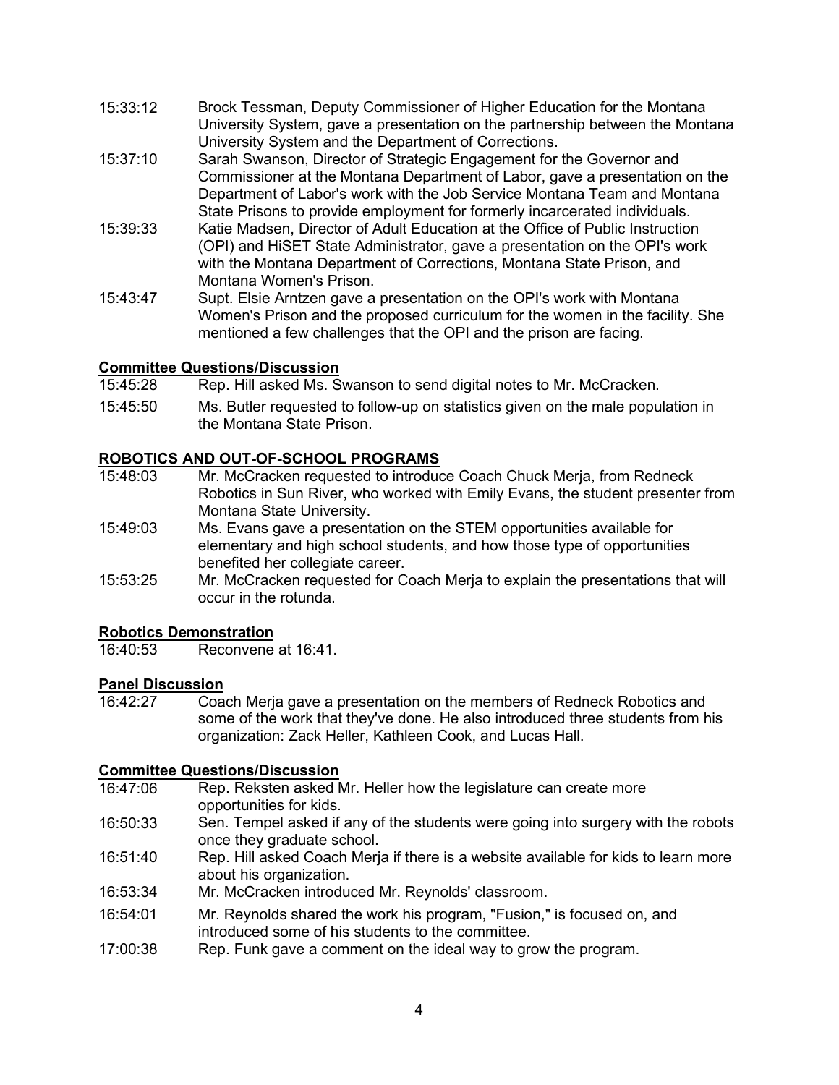- 15:33:12 Brock Tessman, Deputy Commissioner of Higher Education for the Montana University System, gave a presentation on the partnership between the Montana University System and the Department of Corrections.
- 15:37:10 Sarah Swanson, Director of Strategic Engagement for the Governor and Commissioner at the Montana Department of Labor, gave a presentation on the Department of Labor's work with the Job Service Montana Team and Montana State Prisons to provide employment for formerly incarcerated individuals.
- 15:39:33 Katie Madsen, Director of Adult Education at the Office of Public Instruction (OPI) and HiSET State Administrator, gave a presentation on the OPI's work with the Montana Department of Corrections, Montana State Prison, and Montana Women's Prison.
- 15:43:47 Supt. Elsie Arntzen gave a presentation on the OPI's work with Montana Women's Prison and the proposed curriculum for the women in the facility. She mentioned a few challenges that the OPI and the prison are facing.

# **Committee Questions/Discussion**

- Rep. Hill asked Ms. Swanson to send digital notes to Mr. McCracken.
- 15:45:50 Ms. Butler requested to follow-up on statistics given on the male population in the Montana State Prison.

# **ROBOTICS AND OUT-OF-SCHOOL PROGRAMS**<br>15:48:03 Mr. McCracken requested to introduc

- Mr. McCracken requested to introduce Coach Chuck Merja, from Redneck Robotics in Sun River, who worked with Emily Evans, the student presenter from Montana State University.
- 15:49:03 Ms. Evans gave a presentation on the STEM opportunities available for elementary and high school students, and how those type of opportunities benefited her collegiate career.
- 15:53:25 Mr. McCracken requested for Coach Merja to explain the presentations that will occur in the rotunda.

# **Robotics Demonstration**<br>16:40:53 Reconvene

Reconvene at 16:41.

# **Panel Discussion**<br>16:42:27 Coa

Coach Merja gave a presentation on the members of Redneck Robotics and some of the work that they've done. He also introduced three students from his organization: Zack Heller, Kathleen Cook, and Lucas Hall.

## **Committee Questions/Discussion**<br>16:47:06 Rep. Reksten asked N

- Rep. Reksten asked Mr. Heller how the legislature can create more opportunities for kids.
- 16:50:33 Sen. Tempel asked if any of the students were going into surgery with the robots once they graduate school.
- 16:51:40 Rep. Hill asked Coach Merja if there is a website available for kids to learn more about his organization.
- 16:53:34 Mr. McCracken introduced Mr. Reynolds' classroom.
- 16:54:01 Mr. Reynolds shared the work his program, "Fusion," is focused on, and introduced some of his students to the committee.
- 17:00:38 Rep. Funk gave a comment on the ideal way to grow the program.